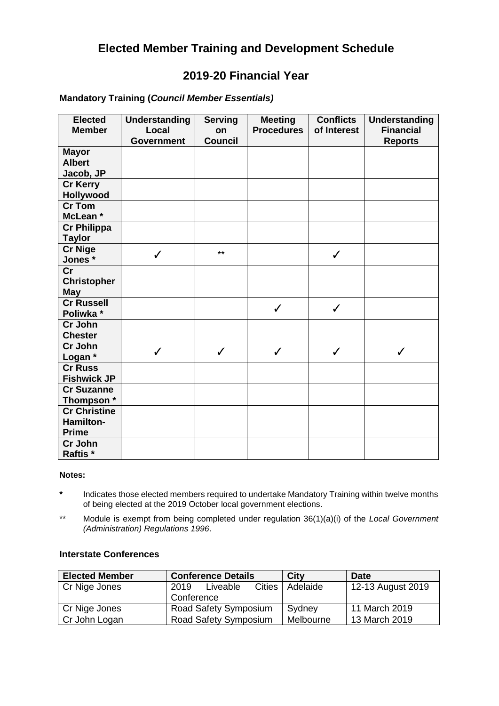# **Elected Member Training and Development Schedule**

# **2019-20 Financial Year**

## **Mandatory Training (***Council Member Essentials)*

| <b>Elected</b><br><b>Member</b>                  | <b>Understanding</b><br>Local<br><b>Government</b> | <b>Serving</b><br>on<br><b>Council</b> | <b>Meeting</b><br><b>Procedures</b> | <b>Conflicts</b><br>of Interest | <b>Understanding</b><br><b>Financial</b><br><b>Reports</b> |
|--------------------------------------------------|----------------------------------------------------|----------------------------------------|-------------------------------------|---------------------------------|------------------------------------------------------------|
| <b>Mayor</b><br><b>Albert</b><br>Jacob, JP       |                                                    |                                        |                                     |                                 |                                                            |
| <b>Cr Kerry</b><br>Hollywood                     |                                                    |                                        |                                     |                                 |                                                            |
| <b>Cr Tom</b><br>McLean *                        |                                                    |                                        |                                     |                                 |                                                            |
| <b>Cr Philippa</b><br><b>Taylor</b>              |                                                    |                                        |                                     |                                 |                                                            |
| <b>Cr Nige</b><br>Jones*                         | ✓                                                  | $***$                                  |                                     | ✓                               |                                                            |
| Cr<br><b>Christopher</b><br><b>May</b>           |                                                    |                                        |                                     |                                 |                                                            |
| <b>Cr Russell</b><br>Poliwka *                   |                                                    |                                        | $\checkmark$                        | $\checkmark$                    |                                                            |
| Cr John<br><b>Chester</b>                        |                                                    |                                        |                                     |                                 |                                                            |
| Cr John<br>Logan *                               | $\checkmark$                                       | $\checkmark$                           | $\checkmark$                        | $\checkmark$                    | ✓                                                          |
| <b>Cr Russ</b><br><b>Fishwick JP</b>             |                                                    |                                        |                                     |                                 |                                                            |
| <b>Cr Suzanne</b><br>Thompson *                  |                                                    |                                        |                                     |                                 |                                                            |
| <b>Cr Christine</b><br>Hamilton-<br><b>Prime</b> |                                                    |                                        |                                     |                                 |                                                            |
| Cr John<br>Raftis *                              |                                                    |                                        |                                     |                                 |                                                            |

#### **Notes:**

- **\*** Indicates those elected members required to undertake Mandatory Training within twelve months of being elected at the 2019 October local government elections.
- \*\* Module is exempt from being completed under regulation 36(1)(a)(i) of the *Local Government (Administration) Regulations 1996*.

### **Interstate Conferences**

| <b>Elected Member</b> | <b>Conference Details</b>         | City      | <b>Date</b>       |
|-----------------------|-----------------------------------|-----------|-------------------|
| Cr Nige Jones         | <b>Cities</b><br>2019<br>Liveable | Adelaide  | 12-13 August 2019 |
|                       | Conference                        |           |                   |
| Cr Nige Jones         | Road Safety Symposium             | Sydney    | 11 March 2019     |
| Cr John Logan         | Road Safety Symposium             | Melbourne | 13 March 2019     |